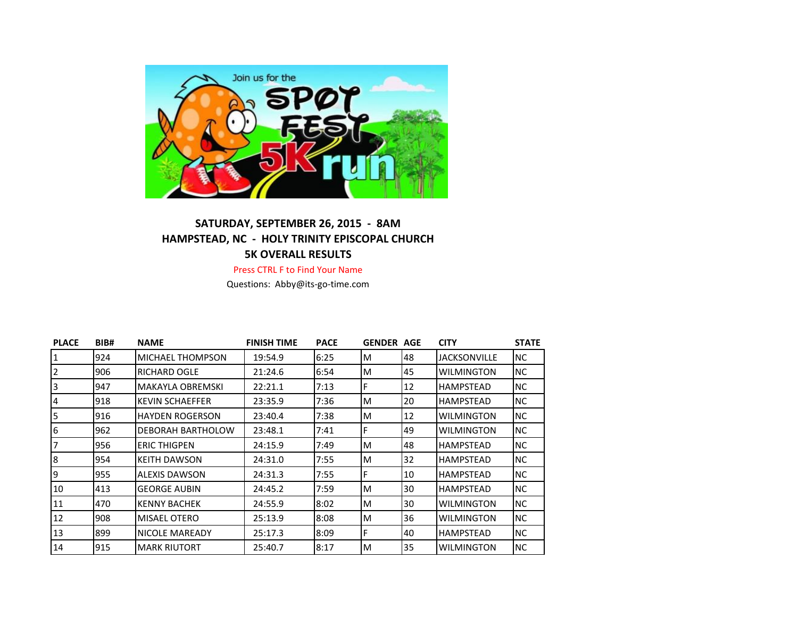

## **SATURDAY, SEPTEMBER 26, 2015 - 8AM HAMPSTEAD, NC - HOLY TRINITY EPISCOPAL CHURCH 5K OVERALL RESULTS**

Press CTRL F to Find Your Name

Questions: Abby@its-go-time.com

| <b>PLACE</b>   | BIB# | <b>NAME</b>              | <b>FINISH TIME</b> | <b>PACE</b> | <b>GENDER AGE</b> |    | <b>CITY</b>         | <b>STATE</b> |
|----------------|------|--------------------------|--------------------|-------------|-------------------|----|---------------------|--------------|
| $\overline{1}$ | 924  | <b>MICHAEL THOMPSON</b>  | 19:54.9            | 6:25        | M                 | 48 | <b>JACKSONVILLE</b> | <b>NC</b>    |
| $\overline{2}$ | 906  | <b>RICHARD OGLE</b>      | 21:24.6            | 6:54        | M                 | 45 | WILMINGTON          | NC.          |
| $\overline{3}$ | 947  | <b>MAKAYLA OBREMSKI</b>  | 22:21.1            | 7:13        | F                 | 12 | <b>HAMPSTEAD</b>    | <b>NC</b>    |
| 4              | 918  | <b>KEVIN SCHAEFFER</b>   | 23:35.9            | 7:36        | M                 | 20 | HAMPSTEAD           | <b>NC</b>    |
| 5              | 916  | <b>HAYDEN ROGERSON</b>   | 23:40.4            | 7:38        | M                 | 12 | WILMINGTON          | INC.         |
| 6              | 962  | <b>DEBORAH BARTHOLOW</b> | 23:48.1            | 7:41        | F                 | 49 | WILMINGTON          | INC.         |
| 17             | 956  | <b>ERIC THIGPEN</b>      | 24:15.9            | 7:49        | M                 | 48 | HAMPSTEAD           | <b>NC</b>    |
| 8              | 954  | <b>KEITH DAWSON</b>      | 24:31.0            | 7:55        | M                 | 32 | HAMPSTEAD           | <b>NC</b>    |
| 9              | 955  | <b>ALEXIS DAWSON</b>     | 24:31.3            | 7:55        | F                 | 10 | <b>HAMPSTEAD</b>    | <b>NC</b>    |
| 10             | 413  | <b>GEORGE AUBIN</b>      | 24:45.2            | 7:59        | M                 | 30 | HAMPSTEAD           | <b>NC</b>    |
| 11             | 470  | <b>KENNY BACHEK</b>      | 24:55.9            | 8:02        | M                 | 30 | WILMINGTON          | <b>NC</b>    |
| 12             | 908  | <b>MISAEL OTERO</b>      | 25:13.9            | 8:08        | M                 | 36 | <b>WILMINGTON</b>   | <b>NC</b>    |
| 13             | 899  | <b>NICOLE MAREADY</b>    | 25:17.3            | 8:09        | F                 | 40 | <b>HAMPSTEAD</b>    | <b>NC</b>    |
| 14             | 915  | <b>MARK RIUTORT</b>      | 25:40.7            | 8:17        | M                 | 35 | <b>WILMINGTON</b>   | <b>NC</b>    |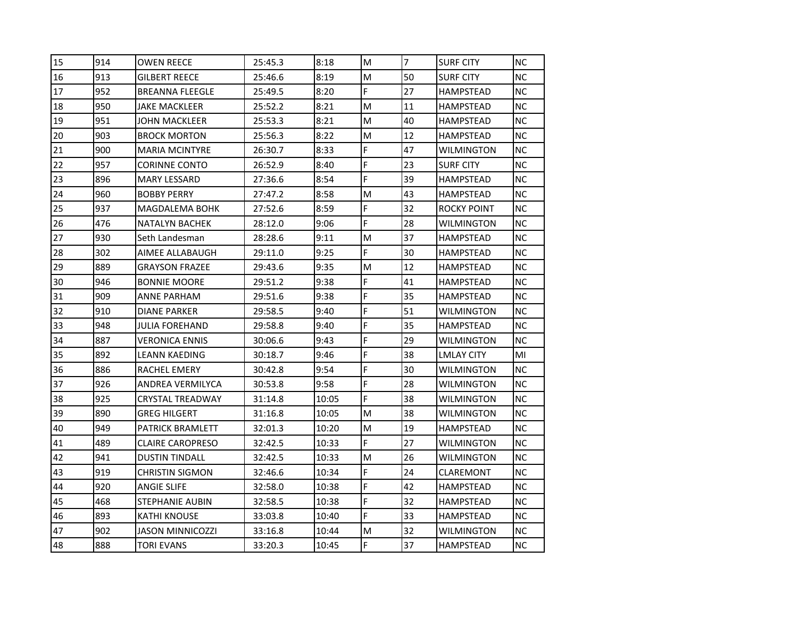| 15 | 914 | OWEN REECE              | 25:45.3 | 8:18  | M  | $\overline{7}$ | <b>SURF CITY</b> | <b>NC</b> |
|----|-----|-------------------------|---------|-------|----|----------------|------------------|-----------|
| 16 | 913 | <b>GILBERT REECE</b>    | 25:46.6 | 8:19  | M  | 50             | SURF CITY        | ΝC        |
| 17 | 952 | <b>BREANNA FLEEGLE</b>  | 25:49.5 | 8:20  | F. | 27             | HAMPSTEAD        | NC.       |
| 18 | 950 | JAKE MACKLEER           | 25:52.2 | 8:21  | M  | 11             | HAMPSTEAD        | NC.       |
| 19 | 951 | JOHN MACKLEER           | 25:53.3 | 8:21  | M  | 40             | HAMPSTEAD        | NC.       |
| 20 | 903 | <b>BROCK MORTON</b>     | 25:56.3 | 8:22  | М  | 12             | HAMPSTEAD        | NC.       |
| 21 | 900 | <b>MARIA MCINTYRE</b>   | 26:30.7 | 8:33  | F. | 47             | WILMINGTON       | NC.       |
| 22 | 957 | <b>CORINNE CONTO</b>    | 26:52.9 | 8:40  | F  | 23             | SURF CITY        | <b>NC</b> |
| 23 | 896 | <b>MARY LESSARD</b>     | 27:36.6 | 8:54  | F  | 39             | HAMPSTEAD        | NC.       |
| 24 | 960 | <b>BOBBY PERRY</b>      | 27:47.2 | 8:58  | М  | 43             | HAMPSTEAD        | NC.       |
| 25 | 937 | MAGDALEMA BOHK          | 27:52.6 | 8:59  | F  | 32             | ROCKY POINT      | <b>NC</b> |
| 26 | 476 | <b>NATALYN BACHEK</b>   | 28:12.0 | 9:06  | F. | 28             | WILMINGTON       | NC.       |
| 27 | 930 | Seth Landesman          | 28:28.6 | 9:11  | M  | 37             | HAMPSTEAD        | NC.       |
| 28 | 302 | AIMEE ALLABAUGH         | 29:11.0 | 9:25  | F  | 30             | HAMPSTEAD        | <b>NC</b> |
| 29 | 889 | GRAYSON FRAZEE          | 29:43.6 | 9:35  | M  | 12             | HAMPSTEAD        | NC.       |
| 30 | 946 | <b>BONNIE MOORE</b>     | 29:51.2 | 9:38  | F  | 41             | HAMPSTEAD        | <b>NC</b> |
| 31 | 909 | ANNE PARHAM             | 29:51.6 | 9:38  | F  | 35             | HAMPSTEAD        | NC.       |
| 32 | 910 | DIANE PARKER            | 29:58.5 | 9:40  | F  | 51             | WILMINGTON       | NC.       |
| 33 | 948 | JULIA FOREHAND          | 29:58.8 | 9:40  | F  | 35             | HAMPSTEAD        | NC.       |
| 34 | 887 | VERONICA ENNIS          | 30:06.6 | 9:43  | F  | 29             | WILMINGTON       | NC.       |
| 35 | 892 | LEANN KAEDING           | 30:18.7 | 9:46  | F  | 38             | LMLAY CITY       | MI        |
| 36 | 886 | RACHEL EMERY            | 30:42.8 | 9:54  | F  | 30             | WILMINGTON       | NC.       |
| 37 | 926 | ANDREA VERMILYCA        | 30:53.8 | 9:58  | F  | 28             | WILMINGTON       | ΝC        |
| 38 | 925 | <b>CRYSTAL TREADWAY</b> | 31:14.8 | 10:05 | F. | 38             | WILMINGTON       | NC.       |
| 39 | 890 | <b>GREG HILGERT</b>     | 31:16.8 | 10:05 | м  | 38             | WILMINGTON       | NC.       |
| 40 | 949 | PATRICK BRAMLETT        | 32:01.3 | 10:20 | M  | 19             | HAMPSTEAD        | <b>NC</b> |
| 41 | 489 | <b>CLAIRE CAROPRESO</b> | 32:42.5 | 10:33 | F  | 27             | WILMINGTON       | ΝC        |
| 42 | 941 | <b>DUSTIN TINDALL</b>   | 32:42.5 | 10:33 | М  | 26             | WILMINGTON       | NC.       |
| 43 | 919 | <b>CHRISTIN SIGMON</b>  | 32:46.6 | 10:34 | F. | 24             | CLAREMONT        | <b>NC</b> |
| 44 | 920 | ANGIE SLIFE             | 32:58.0 | 10:38 | F  | 42             | HAMPSTEAD        | NC.       |
| 45 | 468 | STEPHANIE AUBIN         | 32:58.5 | 10:38 | F  | 32             | HAMPSTEAD        | NC.       |
| 46 | 893 | KATHI KNOUSE            | 33:03.8 | 10:40 | F  | 33             | HAMPSTEAD        | <b>NC</b> |
| 47 | 902 | <b>JASON MINNICOZZI</b> | 33:16.8 | 10:44 | M  | 32             | WILMINGTON       | ΝC        |
| 48 | 888 | TORI EVANS              | 33:20.3 | 10:45 | F  | 37             | HAMPSTEAD        | <b>NC</b> |
|    |     |                         |         |       |    |                |                  |           |